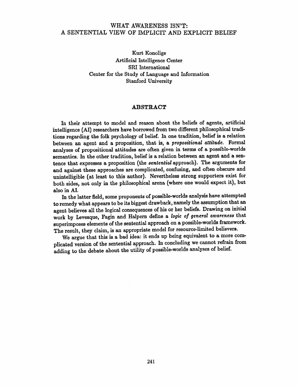# WHAT AWARENESS ISN'T: A SENTENTIAL VIEW OF IMPLICIT AND EXPLICIT BELIEF

Kurt Konolige Artificial Intelligence Center SRI International Center for the Study of Language and Information Stanford University

#### ABSTRACT

In their attempt to model and reason about the beliefs of agents, artificial intelligence (AI) researchers have borrowed from two different philosophical traditions regarding the folk psychology of belief. In one tradition, belief is a relation between an agent and a proposition, that is, a *propositional attitude.* Formal analyses of propositional attitudes are often given in terms of a possible-worlds semantics. In the other tradition, belief is a relation between an agent and a sentence that expresses a proposition (the *sentential* approach). The arguments for and against these approaches are complicated, confusing, and often obscure and unintelligible (at least to this author). Nevertheless strong supporters exist for both sides, not only in the philosophical arena (where one would expect it), but also in AI.

In the latter field, some proponents of posslble-worlds analysis have attempted to remedy what appears to be its biggest drawback, namely the assumption that an agent believes all the logical consequences of his or her beliefs. Drawing on initial work by Levesque, Fagin and Halpern define a *logic of 9eneral awareness* that superimposes elements of the sentential approach on a possible-worlds framework. The result, they claim, is an appropriate model for resource-limited believers.

We argue that this is a bad idea: it ends up being equivalent to a more complicated version of the sentential approach. In concluding we cannot refrain from adding to the debate about the utility of possible-worlds analyses of belief.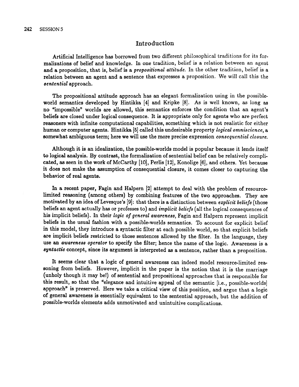## Introduction

Artificial Intelligence has borrowed from two different philosophical traditions for its formalizations of belief and knowledge. In one tradition, belief is a relation between an agent and a proposition, that is, belief is a *propositional attitude*. In the other tradition, belief is a relation between an agent and a sentence that expresses a proposition. We will call this the sentential approach.

The propositional attitude approach has an elegant formalization using in the possibleworld semantics developed by Hintikka  $[4]$  and Kripke  $[8]$ . As is well known, as long as no "impossible" worlds are allowed, this semantics enforces the condition that an agent's beliefs are closed under logical consequence. It is appropriate only for agents who are perfect reasoners with infinite computational capabilities, something which is not realistic for either human or computer agents. Hintikka [5] called this undesirable property *logical omniscience*, a somewhat ambiguous term; here we will use the more precise expression *consequential closure*.

Although it is an idealization, the possible-worlds model is popular because it lends itself to logical analysis. By contrast, the formalization of sentential belief can be relatively complicated, as seen in the work of McCarthy [10], Perlis [12], Konolige [6], and others. Yet because<br>it does not make the assumption of consequential closure, it comes closer to capturing the behavior of real agents.

In a recent paper, Fagin and Halpern [2] attempt to deal with the problem of resourcelimited reasoning (among others) by combining features of the two approaches. They are motivated by an idea of Levesque's [9]: that there is a distinction between *explicit beliefs* (those beliefs an agent actually has or professes to) and *implicit beliefs* (all the logical consequences of his implicit beliefs). In their logic of general awareness, Fagin and Halpern represent implicit beliefs in the usual fashion with a possible-worlds semantics. To account for explicit belief in this model, they introduce a syntactic filter at each possible world, so that explicit beliefs are implicit beliefs restricted to those sentences allowed by the filter. In the language, they use an *awareness operator* to specify the filter; hence the name of the logic. Awareness is a syntactic concept, since its argument is interpreted as a sentence, rather than a proposition.

It seems clear that a logic of general awareness can indeed model resource-limited reasoning from beliefs. However, implicit in the paper is the notion that it is the marriage (unholy though it may be!) of sentential and propositional approaches that is responsible for this result, so that the "elegance and intuitive appeal of the semantic [i.e., possible-worlds] approach" is preserved. Here we take a critical view of this position, and argue that a logic of general awareness is essentially equivalent to the sentential approach, but the addition of possible-worlds elements adds unmotivated and unintuitive complications.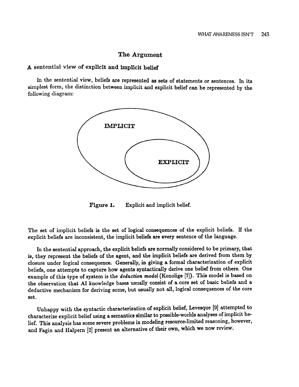### The Argument

### A sentential view of explicit and implicit belief

In the sentential view, beliefs are represented as sets of statements or sentences. In its simplest form, the distinction between implicit and explicit belief can be represented by the following diagram:  $\mathbf{r}$  form, the distinction between implicit and explicit belief can be represented by the representation by the representation by the set of  $\mathbf{r}$ 



Figure 1. Explicit and implicit belief.

The set of implicit beliefs is the set of logical consequences of the explicit beliefs. If the explicit beliefs are inconsistent, the implicit beliefs are every sentence of the language. The set of implicit beliefs is the set of logical consequences of the explicit beliefs. If the explicit beliefs. If the explicit beliefs. If the explicit beliefs. If the explicit beliefs. If the explicit beliefs. If the e

In the sentential approach, the explicit beliefs are normally considered to be primary, that is, they represent the beliefs of the agent, and the implicit beliefs are derived from them by closure under logical consequence. Generally, in giving a formal characterization of explicit beliefs, one attempts to capture how agents syntactically derive one belief from others. One example of this type of system is the *deduction model* (Konolige [7]). This model is based on the observation that AI knowledge bases usually consist of a core set of basic beliefs and a example of the construction is the *deduction is the based of the consequences* of the consequences of the consequences  $\frac{1}{\sqrt{2}}$  $\omega$ .

Unhappy with the syntactic characterization of explicit belief, Levesque [9] attempted to characterize explicit belief using a semantics similar to possible-worlds analyses of implicit be-<br>lief. This analysis has some severe problems in modeling resource-limited reasoning, however,  $\frac{1}{2}$  characterize explicit belief using a semantic similar to possible-worlds analyses of  $\frac{1}{2}$  implicit be-worlds and  $\frac{1}{2}$  implicit be-worlds and  $\frac{1}{2}$  implicit be-worlds and  $\frac{1}{2}$  implicit be-world lief. This analysis has some severe problems in modeling resource-limited reasoning, however,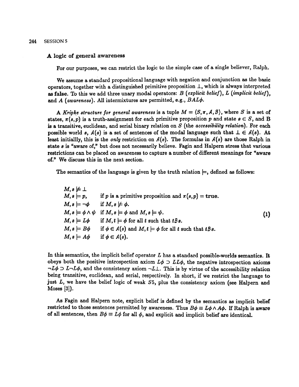#### A logic of general awareness

For our purposes, we can restrict the logic to the simple case of a single believer, Ralph.

We assume a standard propositional language with negation and conjunction as the basic operators, together with a distinguished primitive proposition  $\perp$ , which is always interpreted as false. To this we add three unary modal operators:  $B$  (explicit belief),  $L$  (implicit belief), and  $A$  (awareness). All intermixtures are permitted, e.g.,  $BAL\phi$ .

as false. To this we add three unary modal operators: *B (ezplicit belief), L (implicit belief),* 

**A** *Kripke structure for general awareness* is a tuple  $M = (S, \pi, S)$ is a transitive, euclidean, and serial binary relation on S (the *accessibility relation*). For each possible world s,  $A(s)$  is a set of sentences of the modal language such that  $\bot \in A(s)$ . At least initiallly, this is the *only* restriction on  $A(s)$ . The formulas in  $A(s)$  are those Ralph in state  $s$  is "aware of," but does not necessarily believe. Fagin and Halpern stress that various restrictions can be placed on awareness to capture a number of different meanings for "aware of." We discuss this in the next section.

The semantics of the language is given by the truth relation  $\models$ , defined as follows:

restrictions can be placed on awareness to capture a number of different meanings for ~aware

| $M, s \models p$ ,<br>if p is a primitive proposition and $\pi(s,p) = \text{true}$ .<br>$M, s \models \neg \phi$<br>if $M, s \not\models \phi$ .<br>$M, s \models \phi \land \psi \text{ if } M, s \models \phi \text{ and } M, s \models \psi.$<br>(1)<br>$M, s \models L\phi$<br>if $M, t \models \phi$ for all t such that tBs.<br>$M, s \models B\phi$<br>if $\phi \in \mathcal{A}(s)$ and $M, t \models \phi$ for all t such that $t\beta s$ .<br>$M, s \models A\phi$<br>if $\phi \in \mathcal{A}(s)$ . | $M, s \not\models \bot$ |
|---------------------------------------------------------------------------------------------------------------------------------------------------------------------------------------------------------------------------------------------------------------------------------------------------------------------------------------------------------------------------------------------------------------------------------------------------------------------------------------------------------------|-------------------------|
|---------------------------------------------------------------------------------------------------------------------------------------------------------------------------------------------------------------------------------------------------------------------------------------------------------------------------------------------------------------------------------------------------------------------------------------------------------------------------------------------------------------|-------------------------|

 $\mathbb{R}^{\mathbb{Z}}$  $\ddot{\phantom{a}}$  . (s). (s). obeys both the positive introspection axiom  $L\phi \supset LL\phi$ , the negative introspection axioms  $\neg L\phi \supset L\neg L\phi$ , and the consistency axiom  $\neg L\bot$ . This is by virtue of the accessibility relation being transitive, euclidean, and serial, respectively. In short, if we restrict the language to just *L*, we have the belief logic of weak *S*5, plus the consistency axiom (see Halpern and  $\delta$  franchisear,  $[3]$ .

As Fagin of all sentences, then  $B\phi \equiv L\phi$  for all  $\phi$ , and explicit and implicit belief are identical.

just L, we have the belief logic of weak \$5, plus the belief logic of weak \$5, plus the consistency axiom (see<br>In the belief logic of weak \$5, plus the consistency axiom (see belief logic) and the consistency axiom (see b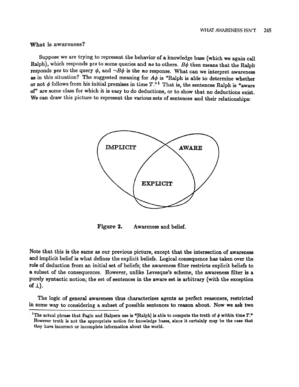### What is awareness?

Suppose we are trying to represent the behavior of a knowledge base (which we again call Ralph), which responds yes to some queries and no to others. B $\phi$  then means that the Ralph responds yes to the query  $\phi$ , and  $\neg B\phi$  is the no response. What can we interpret awareness as in this situation? The suggested meaning for  $A\phi$  is "Ralph is able to determine whether or not  $\phi$  follows from his initial premises in time  $T.^{n}1$ . That is, the sentences Ralph is "aware of" are some class for which it is easy to do deductions, or to show that no deductions exist. We can draw this picture to represent the various sets of sentences and their relationships:

of" are some class for which it is easy to do deductions, or to show that no deductions exist.



Figure 2. Awareness and belief.

Note that this is the same as our previous picture, except that the intersection of awareness and implicit belief is what defines the explicit beliefs. Logical consequence has taken over the role of deduction from an initial set of beliefs; the awareness filter restricts explicit beliefs to a subset of the consequences. However, unlike Levesque's scheme, the awareness filter is a purely syntactic notion; the set of sentences in the aware set is arbitrary (with the exception  $\alpha$  subset of the consequences. However, unlike Leves, the awareness filter is awareness filter is awareness filter is awareness filter is awareness filter is awareness filter is awareness filter is awareness filter is a

The logic of general awareness thus characterizes agents as perfect reasoners, restricted in some way to considering a subset of possible sentences to reason about. Now we ask two

purely syntactic notion; the set of sentences in the aware set is arbitrary (with the exception

The logic of general awareness thus characterizes agents as perfect reasoners, restricted as perfect reasoners, restricted and the logical construction of the logical construction of the logical construction of the logical in some way to compute that if agin and Halpern use is "[Kalph] is able to compute the truth of  $\phi$  within time  $I$ . they have incorrect or incomplete information about the world.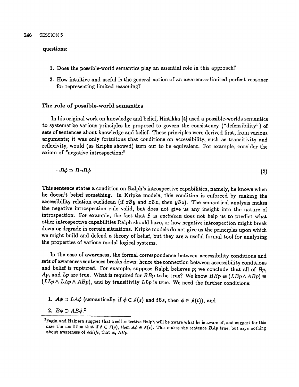questions:

- 1. Does the possible-world semantics play an essential role in this approach?
- 2. How intuitive and useful is the general notion of an awareness-limited perfect reasoner for representing limited reasoning?

#### The role of possible-world semantics

In his original work on knowledge and belief, Hintikka [4] used a possible-worlds semantics to systematize various principles he proposed to govern the consistency ("defensibility") of sets of sentences about knowledge and belief. These principles were derived first, from various arguments; it was only fortuitous that conditions on accessibility, such as transitivity and reflexivity, would (as Kripke showed) turn out to be equivalent. For example, consider the axiom of "negative introspection:"

$$
\neg B\phi \supset B\neg B\phi \tag{2}
$$

This sentence states a condition on Ralph's introspective capabilities, namely, he knows when he doesn't belief something. In Kripke models, this condition is enforced by making the accessibility relation euclidean (if  $x\beta y$  and  $x\beta z$ , then  $y\beta z$ ). The semantical analysis makes the negative introspection rule valid, but does not give us any insight into the nature of introspection. For example, the fact that  $\beta$  is euclidean does not help us to predict what other introspective capabilities Ralph should have, or how negative introspection might break down or degrade in certain situations. Kripke models do not give us the principles upon which we might build and defend a theory of belief, but they are a useful formal tool for analyzing the properties of various modal logical systems.

In the case of awareness, the formal correspondence between accessibility conditions and sets of awareness sentences breaks down; hence the connection between accessibility conditions and belief is ruptured. For example, suppose Ralph believes  $p$ ; we conclude that all of  $Bp$ , Ap, and Lp are true. What is required for  $BBp$  to be true? We know  $BBp \equiv (LBp \wedge ABp) \equiv$  $(LLp \wedge LAp \wedge ABp)$ , and by transitivity  $LLp$  is true. We need the further conditions:

- 1.  $A\phi \supset LA\phi$  (semantically, if  $\phi \in \mathcal{A}(s)$  and  $t\beta s$ , then  $\phi \in \mathcal{A}(t)$ ), and
- 2.  $B\phi \supset AB\phi$ .<sup>2</sup>

<sup>&</sup>lt;sup>2</sup>Fagin and Halpern suggest that a self-reflective Ralph will be aware what he is aware of, and suggest for this case the condition that if  $\phi \in A(s)$ , then  $A\phi \in A(s)$ . This makes the sentence  $BAp$  true, but says nothing about awareness of *beliefs*, that is,  $ABp$ . case the condition that if ~b E ~(s), then A¢E ~(s). This makes the sentence *BAp* true, but says nothing about awareness of *beliefs,* that is, *ABp.*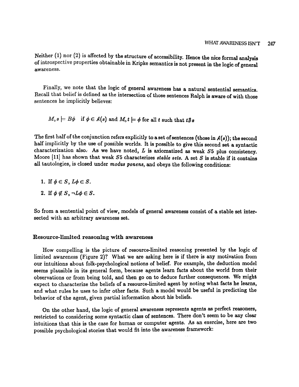of introspective properties obtainable in Kripke semantics is not present in the logic of general  $\alpha$  introduce properties obtained in Kriepke semantics is not present in the logic of general in the logic of general in the logic of general in the logic of general in the logic of general in the logic of general in the

 $\frac{F}{\text{Recall}}$  that belief is defined as the intersection of those sentences  $\frac{F}{\text{Recall}}$  is aware of with the sentences he implicitly believes: sentences he implicitly believes:

 $M, s \models B\phi$  if  $\phi \in \mathcal{A}(s)$  and  $M, t \models \phi$  for all t such that  $t\beta s$ 

The first half of the conjunction refers explicitly to a set of sentences (those in  $A(s)$ ); the second half implicitly by the use of possible worlds. It is possible to give this second set a syntactic characterization also. As we have noted,  $L$  is axiomatized as weak  $S5$  plus consistency. Moore [11] has shown that weak  $S5$  characterizes stable sets. A set  $S$  is stable if it contains all tautologies, is closed under *modus ponens*, and obeys the following conditions:

1. If 
$$
\phi \in S
$$
,  $L\phi \in S$ .  
2. If  $\phi \notin S$ ,  $\neg L\phi \in S$ .

So from a sentential point of view, models of general awareness consist of a stable set intersected with an arbitrary awareness set.

### Resource-limited reasoning with awareness

How compelling is the picture of resource-limited reasoning presented by the logic of limited awareness (Figure 2)? What we are asking here is if there is any motivation from our intuitions about folk-psychological notions of belief. For example, the deduction model seems plausible in its general form, because agents learn facts about the world from their observations or from being told, and then go on to deduce further consequences. We might expect to characterize the beliefs of a resource-limited agent by noting what facts he learns, and what rules he uses to infer other facts. Such a model would be useful in predicting the behavior of the agent, given partial information about his beliefs.

On the other hand, the logic of general awareness represents agents as perfect reasoners, restricted to considering some syntactic class of sentences. There don't seem to be any clear intuitions that this is the case for human or computer agents. As an exercise, here are two nossible psychological stories that would fit into the awareness framework: possible psychological stories that would fit into the awareness framework: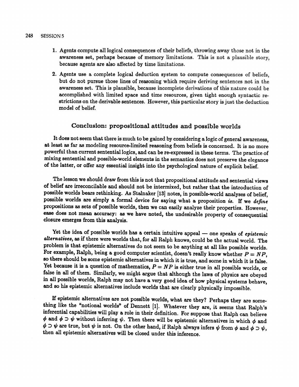- 1. Agents compute all logical consequences of their beliefs, throwing away those not in the awareness set, perhaps because of memory limitations. This is not a plausible story, because agents are also affected by time limitations.
- but do not pursue those lines of reasoning which require deriving sentences not in the 2. Agents use a complete logical deduction system to compute consequences of beliefs, awareness set. This is plausible, because incomplete derivations of this nature could be accomplished with limited space and time resources, given tight enough syntactic restrictions on the derivable sentences. However, this particular story is just the deduction model of belief. strictions on the derivative sentences. However, this particular story is just the deduction of derivative story is just the deduction of the deduction of the deduction of the deduction of the deduction of the deduction of

## Conclusion: propositional attitudes and possible worlds

It does not seem that there is much to be gained by considering a logic of general awareness, at least as far as modeling resource-limited reasoning from beliefs is concerned. It is no more powerful than current sentential logics, and can be re-expressed in these terms. The practice of mixing sentential and possible-world elements in the semantics does not preserve the elegance of the latter, or offer any essential insight into the psychological nature of explicit belief.

of belief are irreconcilable and should not be intermixed, but rather that the introduction of possible worlds bears rethinking. As Stalnaker [13] notes, in possible-world analyses of belief, possible worlds are simply a formal device for saying what a proposition is. If we define propositions as sets of possible worlds, then we can easily analyze their properties. However, ease does not mean accuracy: as we have noted, the undesirable property of consequential closure emerges from this analysis.

Yet the idea of possible worlds has a certain intuitive appeal - one speaks of epistemic alternatives, as if there were worlds that, for all Ralph knows, could be the actual world. The problem is that epistemic alternatives do not seem to be anything at all like possible worlds. For example, Ralph, being a good computer scientist, doesn't really know whether  $P = NP$ , so there should be some epistemic alternatives in which it is true, and some in which it is false. Yet because it is a question of mathematics,  $P = NP$  is either true in all possible worlds, or false in all of them. Similarly, we might argue that although the laws of physics are obeyed in all possible worlds, Ralph may not have a very good idea of how physical systems behave, and so his epistemic alternatives include worlds that are clearly physically impossible.

If epistemic alternatives are not possible worlds, what are they? Perhaps they are something like the "notional worlds" of Dennett [1]. Whatever they are, it seems that Ralph's inferential capabilities will play a role in their definition. For suppose that Ralph can believe  $\phi$  and  $\phi \supset \psi$  without inferring  $\psi$ . Then there will be epistemic alternatives in which  $\phi$  and  $\phi \supset \psi$  are true, but  $\psi$  is not. On the other hand, if Ralph always infers  $\psi$  from  $\phi$  and  $\phi \supset \psi$ , then all epistemic alternatives will be closed under this inference.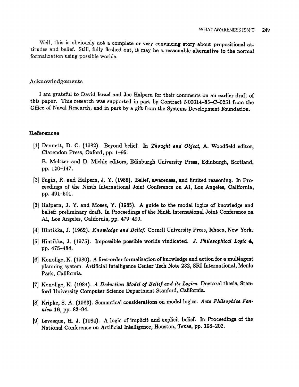Well, this is obviously not a complete or very convincing story about propositional attitudes and belief. Still, fully fieshed out, it may be a reasonable alternative to the normal formalization using possible worlds.

#### Acknowledgements

I am grateful to David Israel and Joe Halpern for their comments on an earlier draft of this paper. This research was supported in part by Contract N00014-85-C-0251 from the Office of Naval Research, and in part by a gift from the Systems Development Foundation.

#### References

[1] Dennett, D. C. (1982). Beyond belief. In Thought and Object, A. Woodfield editor, Clarendon Press, Oxford, pp. 1-95.

E. Meltzer and D. Michie editors, Edinburgh University Press, Edinburgh, Scotland  $\frac{120 - 147}{ }$ 

- $B \cdot D$  d. Michie editors, Edinburgh University Press, Edinburgh University Press, Edinburgh University Press, Edinburgh, Scotland, Scotland, Scotland, Scotland, Scotland, Scotland, Scotland, Scotland, Scotland, Scotland, ragin, n. and pp. 491-501.
- ceedings of the Ninth International Joint Conference on AI, Los Angeles, California, naiperii, J.<br>1910 - Alexandria II AI, Los Angeles, California, pp. 479-490.
- belief: preliminary draft. In Proceedings of the Ninth International Joint Conference on AIMUIKKA, J. (1904). Anowicage and Dene
- [5] Hintikka, J. (1975). Impossible possible worlds vindicated. *J. Philosophical Logic* 4, pp. 475-484.
- [5] Hintikka, J. (1975). Impossible possible worlds vindicated. *J. Philosophical £o9ie 4,*   $\mathbf{v}$ ononge,  $\mathbf{v}$ . Park, California.
- planning system. Artificial Intelligence Center Tech Note 232, SRI International, Menlo  $\sum_{i=1}^{\infty}$
- [7] Konolige, K. (1984). *A Deduction Model of Belief and its Logics.* Doctoral thesis, Stanfor the University Computer Standard Computer Standard Standard, California. California. California. California
- [8] Kripke, S. A. (1963). Semantical considerations on modal logics. *Acta Philsophica Fennevesque, n. s.* (18